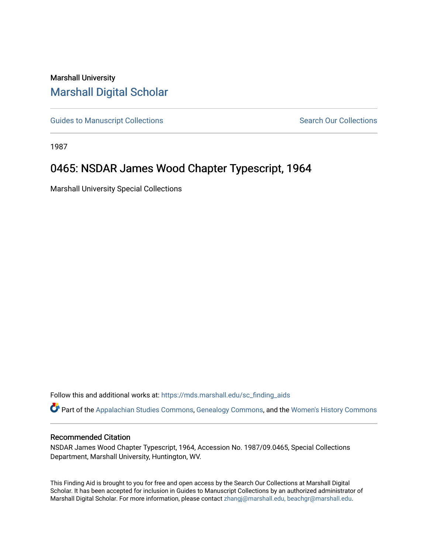## Marshall University [Marshall Digital Scholar](https://mds.marshall.edu/)

[Guides to Manuscript Collections](https://mds.marshall.edu/sc_finding_aids) **Search Our Collections** Search Our Collections

1987

# 0465: NSDAR James Wood Chapter Typescript, 1964

Marshall University Special Collections

Follow this and additional works at: [https://mds.marshall.edu/sc\\_finding\\_aids](https://mds.marshall.edu/sc_finding_aids?utm_source=mds.marshall.edu%2Fsc_finding_aids%2F534&utm_medium=PDF&utm_campaign=PDFCoverPages) 

Part of the [Appalachian Studies Commons,](http://network.bepress.com/hgg/discipline/1253?utm_source=mds.marshall.edu%2Fsc_finding_aids%2F534&utm_medium=PDF&utm_campaign=PDFCoverPages) [Genealogy Commons,](http://network.bepress.com/hgg/discipline/1342?utm_source=mds.marshall.edu%2Fsc_finding_aids%2F534&utm_medium=PDF&utm_campaign=PDFCoverPages) and the [Women's History Commons](http://network.bepress.com/hgg/discipline/507?utm_source=mds.marshall.edu%2Fsc_finding_aids%2F534&utm_medium=PDF&utm_campaign=PDFCoverPages) 

#### Recommended Citation

NSDAR James Wood Chapter Typescript, 1964, Accession No. 1987/09.0465, Special Collections Department, Marshall University, Huntington, WV.

This Finding Aid is brought to you for free and open access by the Search Our Collections at Marshall Digital Scholar. It has been accepted for inclusion in Guides to Manuscript Collections by an authorized administrator of Marshall Digital Scholar. For more information, please contact [zhangj@marshall.edu, beachgr@marshall.edu](mailto:zhangj@marshall.edu,%20beachgr@marshall.edu).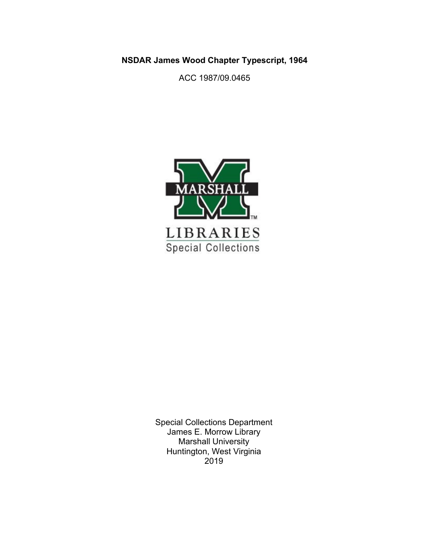**NSDAR James Wood Chapter Typescript, 1964**

ACC 1987/09.0465



Special Collections Department James E. Morrow Library Marshall University Huntington, West Virginia 2019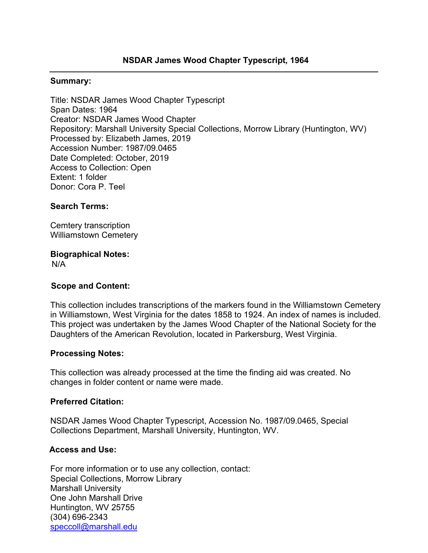### **Summary:**

Title: NSDAR James Wood Chapter Typescript Span Dates: 1964 Creator: NSDAR James Wood Chapter Repository: Marshall University Special Collections, Morrow Library (Huntington, WV) Processed by: Elizabeth James, 2019 Accession Number: 1987/09.0465 Date Completed: October, 2019 Access to Collection: Open Extent: 1 folder Donor: Cora P. Teel

### **Search Terms:**

Cemtery transcription Williamstown Cemetery

### **Biographical Notes:**

N/A

### **Scope and Content:**

This collection includes transcriptions of the markers found in the Williamstown Cemetery in Williamstown, West Virginia for the dates 1858 to 1924. An index of names is included. This project was undertaken by the James Wood Chapter of the National Society for the Daughters of the American Revolution, located in Parkersburg, West Virginia.

### **Processing Notes:**

This collection was already processed at the time the finding aid was created. No changes in folder content or name were made.

### **Preferred Citation:**

NSDAR James Wood Chapter Typescript, Accession No. 1987/09.0465, Special Collections Department, Marshall University, Huntington, WV.

### **Access and Use:**

For more information or to use any collection, contact: Special Collections, Morrow Library Marshall University One John Marshall Drive Huntington, WV 25755 (304) 696-2343 [speccoll@marshall.edu](mailto:speccoll@marshall.edu)